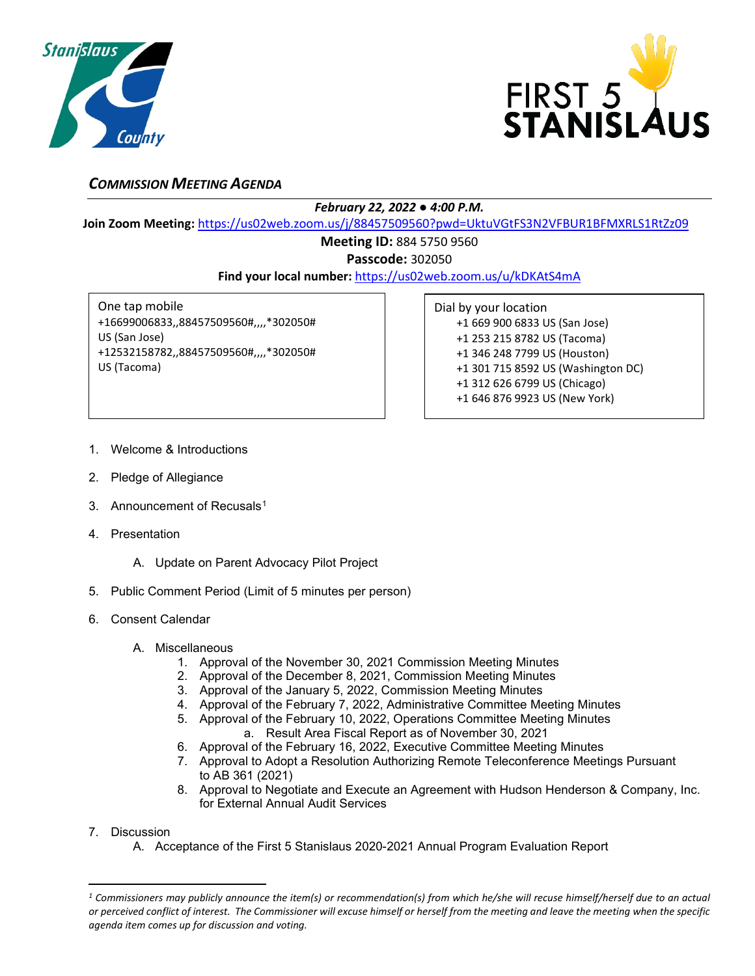



## *COMMISSION MEETING AGENDA*

## *February 22, 2022 ● 4:00 P.M.*

**Join Zoom Meeting:** <https://us02web.zoom.us/j/88457509560?pwd=UktuVGtFS3N2VFBUR1BFMXRLS1RtZz09>

## **Meeting ID:** 884 5750 9560

**Passcode:** 302050

**Find your local number:** <https://us02web.zoom.us/u/kDKAtS4mA>

One tap mobile +16699006833,,88457509560#,,,,\*302050# US (San Jose) +12532158782,,88457509560#,,,,\*302050# US (Tacoma)

Dial by your location +1 669 900 6833 US (San Jose) +1 253 215 8782 US (Tacoma) +1 346 248 7799 US (Houston) +1 301 715 8592 US (Washington DC) +1 312 626 6799 US (Chicago) +1 646 876 9923 US (New York)

- 1. Welcome & Introductions
- 2. Pledge of Allegiance
- 3. Announcement of Recusals<sup>[1](#page-0-0)</sup>
- 4. Presentation
	- A. Update on Parent Advocacy Pilot Project
- 5. Public Comment Period (Limit of 5 minutes per person)
- 6. Consent Calendar
	- A. Miscellaneous
		- 1. Approval of the November 30, 2021 Commission Meeting Minutes
		- 2. Approval of the December 8, 2021, Commission Meeting Minutes
		- 3. Approval of the January 5, 2022, Commission Meeting Minutes
		- 4. Approval of the February 7, 2022, Administrative Committee Meeting Minutes
		- 5. Approval of the February 10, 2022, Operations Committee Meeting Minutes
			- a. Result Area Fiscal Report as of November 30, 2021
		- 6. Approval of the February 16, 2022, Executive Committee Meeting Minutes
		- 7. Approval to Adopt a Resolution Authorizing Remote Teleconference Meetings Pursuant to AB 361 (2021)
		- 8. Approval to Negotiate and Execute an Agreement with Hudson Henderson & Company, Inc. for External Annual Audit Services
- 7. Discussion
	- A. Acceptance of the First 5 Stanislaus 2020-2021 Annual Program Evaluation Report

<span id="page-0-0"></span>*<sup>1</sup> Commissioners may publicly announce the item(s) or recommendation(s) from which he/she will recuse himself/herself due to an actual or perceived conflict of interest. The Commissioner will excuse himself or herself from the meeting and leave the meeting when the specific agenda item comes up for discussion and voting.*